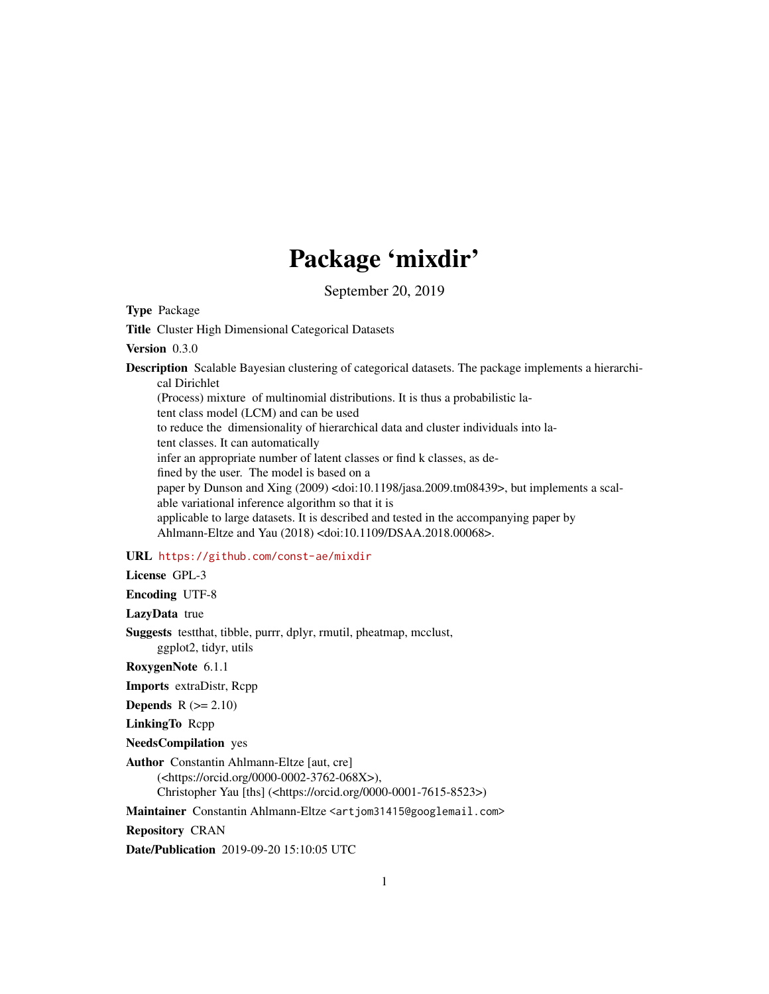# Package 'mixdir'

September 20, 2019

Type Package

Title Cluster High Dimensional Categorical Datasets

Version 0.3.0

Description Scalable Bayesian clustering of categorical datasets. The package implements a hierarchical Dirichlet

(Process) mixture of multinomial distributions. It is thus a probabilistic la-

tent class model (LCM) and can be used

to reduce the dimensionality of hierarchical data and cluster individuals into la-

tent classes. It can automatically

infer an appropriate number of latent classes or find k classes, as de-

fined by the user. The model is based on a

paper by Dunson and Xing (2009) <doi:10.1198/jasa.2009.tm08439>, but implements a scalable variational inference algorithm so that it is applicable to large datasets. It is described and tested in the accompanying paper by

Ahlmann-Eltze and Yau (2018) <doi:10.1109/DSAA.2018.00068>.

# URL <https://github.com/const-ae/mixdir>

License GPL-3

Encoding UTF-8

LazyData true

Suggests testthat, tibble, purrr, dplyr, rmutil, pheatmap, mcclust, ggplot2, tidyr, utils

RoxygenNote 6.1.1

Imports extraDistr, Rcpp

**Depends**  $R (= 2.10)$ 

LinkingTo Rcpp

NeedsCompilation yes

Author Constantin Ahlmann-Eltze [aut, cre] (<https://orcid.org/0000-0002-3762-068X>), Christopher Yau [ths] (<https://orcid.org/0000-0001-7615-8523>)

Maintainer Constantin Ahlmann-Eltze <artjom31415@googlemail.com>

Repository CRAN

Date/Publication 2019-09-20 15:10:05 UTC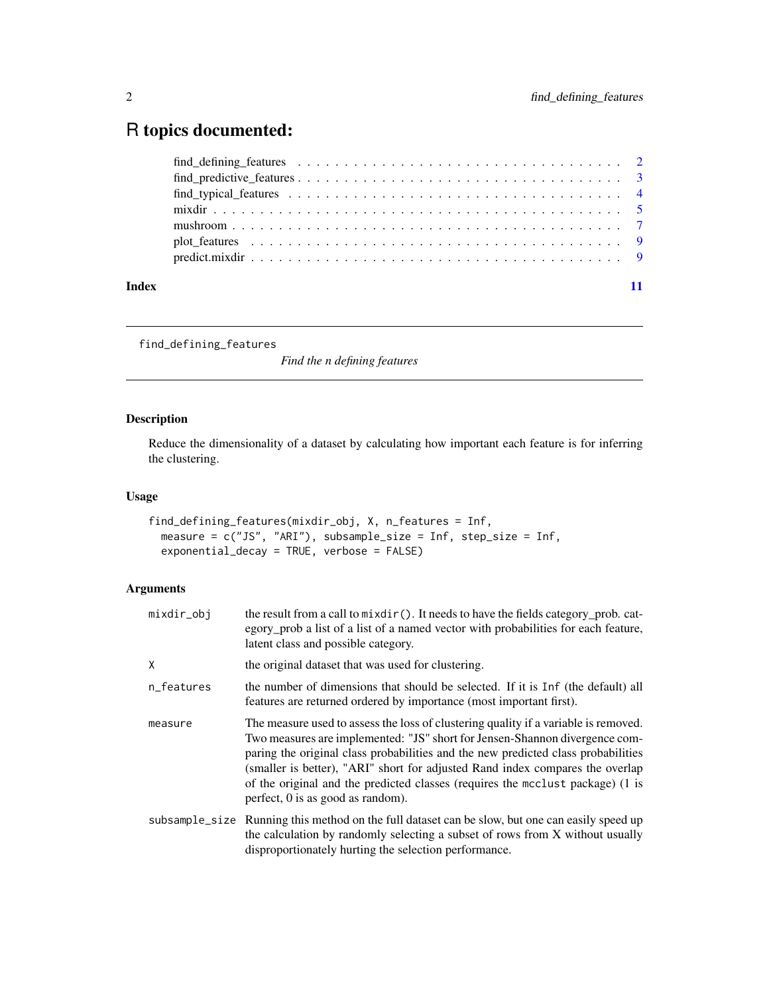# <span id="page-1-0"></span>R topics documented:

| Index |  |
|-------|--|

<span id="page-1-1"></span>find\_defining\_features

*Find the n defining features*

# Description

Reduce the dimensionality of a dataset by calculating how important each feature is for inferring the clustering.

# Usage

```
find_defining_features(mixdir_obj, X, n_features = Inf,
 measure = c("JS", "ARI"), subsample_size = Inf, step_size = Inf,
  exponential_decay = TRUE, verbose = FALSE)
```
# Arguments

| mixdir_obj | the result from a call to mixdir(). It needs to have the fields category_prob. cat-<br>egory_prob a list of a list of a named vector with probabilities for each feature,<br>latent class and possible category.                                                                                                                                                                                                                                                  |
|------------|-------------------------------------------------------------------------------------------------------------------------------------------------------------------------------------------------------------------------------------------------------------------------------------------------------------------------------------------------------------------------------------------------------------------------------------------------------------------|
| X          | the original dataset that was used for clustering.                                                                                                                                                                                                                                                                                                                                                                                                                |
| n_features | the number of dimensions that should be selected. If it is Inf (the default) all<br>features are returned ordered by importance (most important first).                                                                                                                                                                                                                                                                                                           |
| measure    | The measure used to assess the loss of clustering quality if a variable is removed.<br>Two measures are implemented: "JS" short for Jensen-Shannon divergence com-<br>paring the original class probabilities and the new predicted class probabilities<br>(smaller is better), "ARI" short for adjusted Rand index compares the overlap<br>of the original and the predicted classes (requires the mcclust package) (1 is<br>perfect, $0$ is as good as random). |
|            | subsample_size Running this method on the full dataset can be slow, but one can easily speed up<br>the calculation by randomly selecting a subset of rows from X without usually<br>disproportionately hurting the selection performance.                                                                                                                                                                                                                         |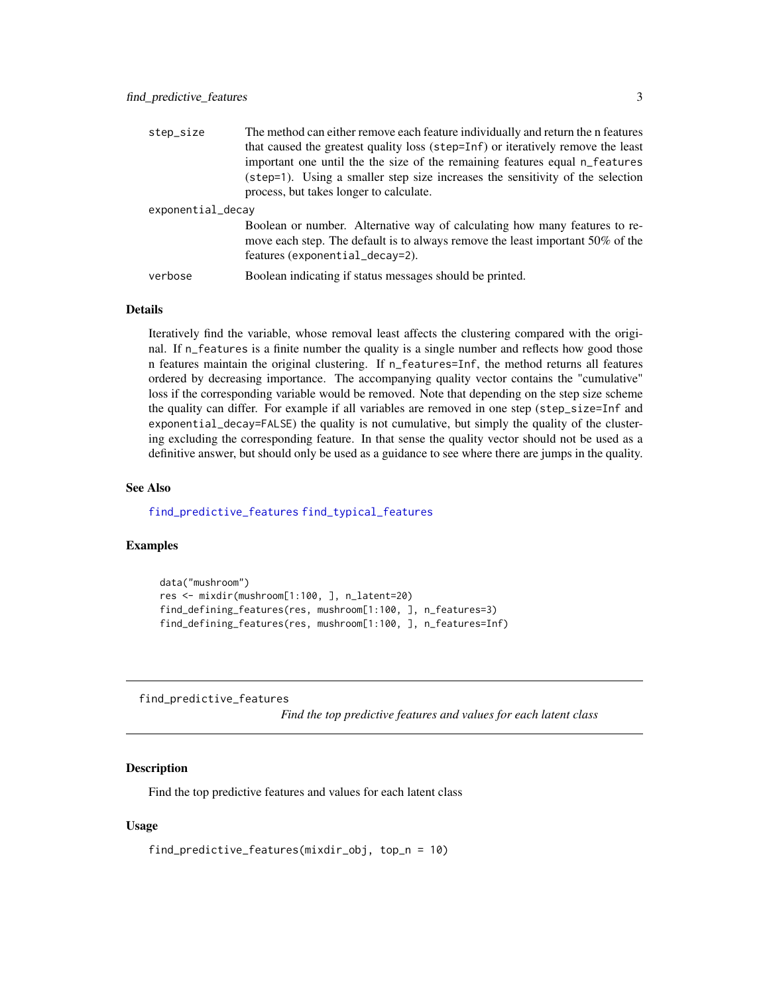<span id="page-2-0"></span>

| step_size         | The method can either remove each feature individually and return the n features                                                                                                                |
|-------------------|-------------------------------------------------------------------------------------------------------------------------------------------------------------------------------------------------|
|                   | that caused the greatest quality loss (step=Inf) or iteratively remove the least                                                                                                                |
|                   | important one until the the size of the remaining features equal n_features                                                                                                                     |
|                   | (step=1). Using a smaller step size increases the sensitivity of the selection<br>process, but takes longer to calculate.                                                                       |
| exponential_decay |                                                                                                                                                                                                 |
|                   | Boolean or number. Alternative way of calculating how many features to re-<br>move each step. The default is to always remove the least important 50% of the<br>features (exponential_decay=2). |
| verbose           | Boolean indicating if status messages should be printed.                                                                                                                                        |

#### Details

Iteratively find the variable, whose removal least affects the clustering compared with the original. If n\_features is a finite number the quality is a single number and reflects how good those n features maintain the original clustering. If n\_features=Inf, the method returns all features ordered by decreasing importance. The accompanying quality vector contains the "cumulative" loss if the corresponding variable would be removed. Note that depending on the step size scheme the quality can differ. For example if all variables are removed in one step (step\_size=Inf and exponential\_decay=FALSE) the quality is not cumulative, but simply the quality of the clustering excluding the corresponding feature. In that sense the quality vector should not be used as a definitive answer, but should only be used as a guidance to see where there are jumps in the quality.

#### See Also

[find\\_predictive\\_features](#page-2-1) [find\\_typical\\_features](#page-3-1)

#### Examples

```
data("mushroom")
res <- mixdir(mushroom[1:100, ], n_latent=20)
find_defining_features(res, mushroom[1:100, ], n_features=3)
find_defining_features(res, mushroom[1:100, ], n_features=Inf)
```
<span id="page-2-1"></span>find\_predictive\_features

*Find the top predictive features and values for each latent class*

#### Description

Find the top predictive features and values for each latent class

#### Usage

```
find_predictive_features(mixdir_obj, top_n = 10)
```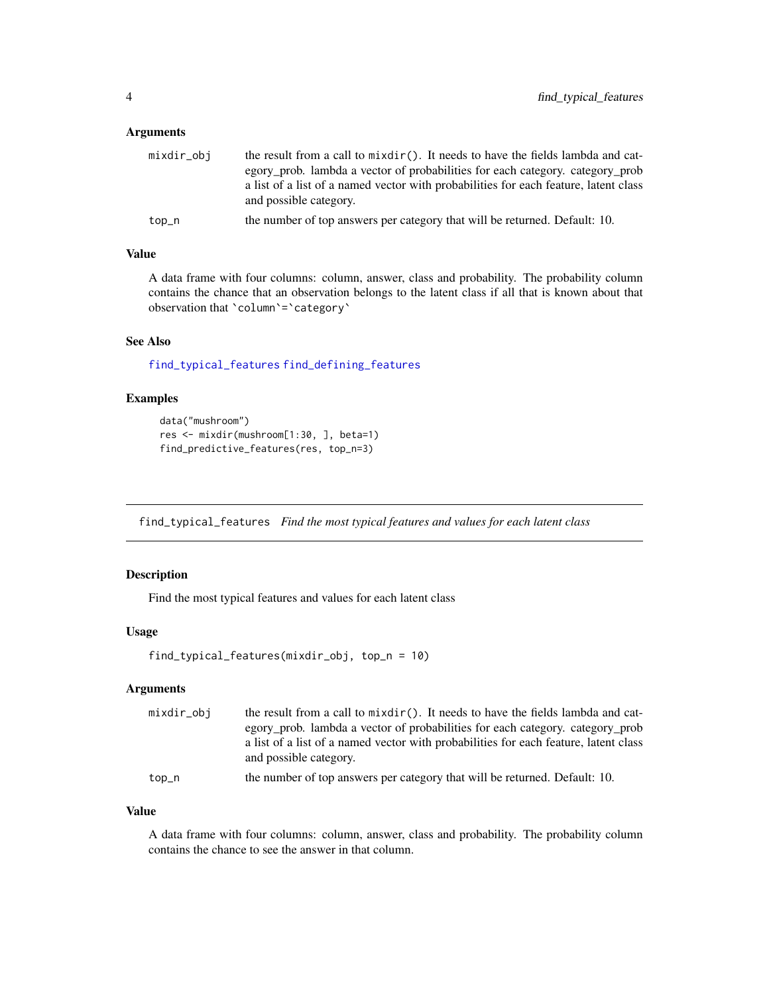# <span id="page-3-0"></span>Arguments

| mixdir_obj | the result from a call to $mixdir()$ . It needs to have the fields lambda and cat-   |
|------------|--------------------------------------------------------------------------------------|
|            | egory_prob. lambda a vector of probabilities for each category. category_prob        |
|            | a list of a list of a named vector with probabilities for each feature, latent class |
|            | and possible category.                                                               |
| top_n      | the number of top answers per category that will be returned. Default: 10.           |

# Value

A data frame with four columns: column, answer, class and probability. The probability column contains the chance that an observation belongs to the latent class if all that is known about that observation that `column`=`category`

# See Also

[find\\_typical\\_features](#page-3-1) [find\\_defining\\_features](#page-1-1)

#### Examples

```
data("mushroom")
res <- mixdir(mushroom[1:30, ], beta=1)
find_predictive_features(res, top_n=3)
```
<span id="page-3-1"></span>find\_typical\_features *Find the most typical features and values for each latent class*

# Description

Find the most typical features and values for each latent class

#### Usage

```
find_typical_features(mixdir_obj, top_n = 10)
```
#### Arguments

| mixdir_obj | the result from a call to $mixdir()$ . It needs to have the fields lambda and cat-<br>egory_prob. lambda a vector of probabilities for each category. category_prob<br>a list of a list of a named vector with probabilities for each feature, latent class<br>and possible category. |
|------------|---------------------------------------------------------------------------------------------------------------------------------------------------------------------------------------------------------------------------------------------------------------------------------------|
| top_n      | the number of top answers per category that will be returned. Default: 10.                                                                                                                                                                                                            |

#### Value

A data frame with four columns: column, answer, class and probability. The probability column contains the chance to see the answer in that column.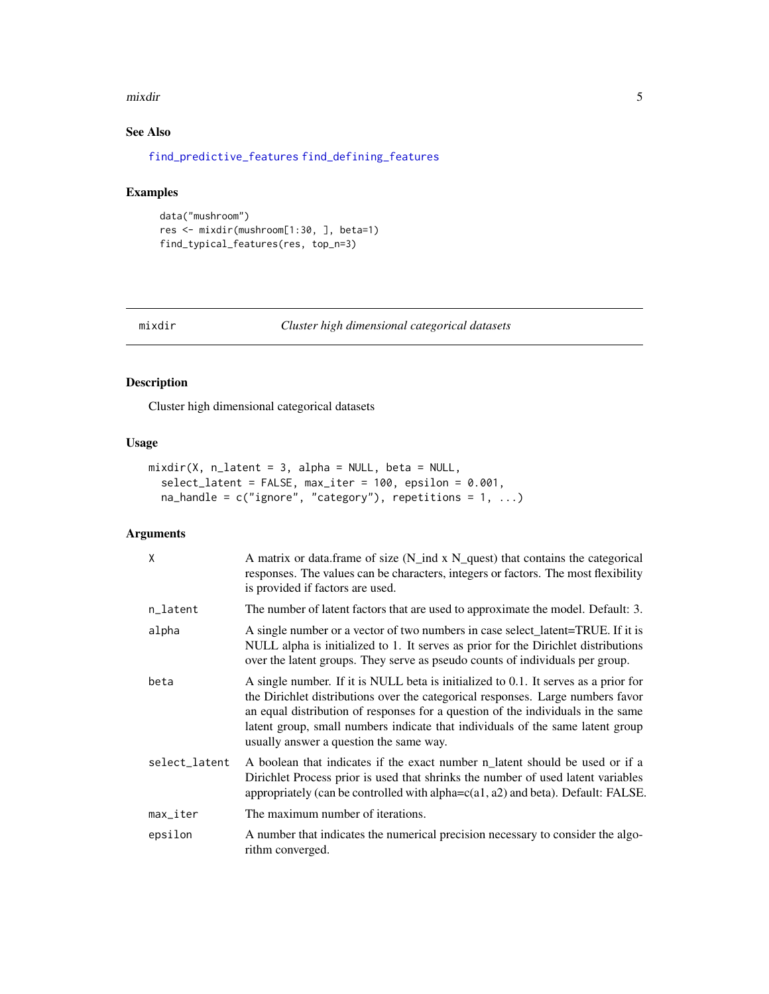#### <span id="page-4-0"></span>mixdir 5

# See Also

[find\\_predictive\\_features](#page-2-1) [find\\_defining\\_features](#page-1-1)

# Examples

```
data("mushroom")
res <- mixdir(mushroom[1:30, ], beta=1)
find_typical_features(res, top_n=3)
```
# Description

Cluster high dimensional categorical datasets

# Usage

```
mixdir(X, n_1atent = 3, alpha = NULL, beta = NULL,
  select_latent = FALSE, max_iter = 100, epsilon = 0.001,
 na_handle = c("ignore", "category"), repetitions = 1, ...)
```
# Arguments

| X                      | A matrix or data.frame of size (N_ind x N_quest) that contains the categorical<br>responses. The values can be characters, integers or factors. The most flexibility<br>is provided if factors are used.                                                                                                                                                                                |
|------------------------|-----------------------------------------------------------------------------------------------------------------------------------------------------------------------------------------------------------------------------------------------------------------------------------------------------------------------------------------------------------------------------------------|
| n_latent               | The number of latent factors that are used to approximate the model. Default: 3.                                                                                                                                                                                                                                                                                                        |
| alpha                  | A single number or a vector of two numbers in case select_latent=TRUE. If it is<br>NULL alpha is initialized to 1. It serves as prior for the Dirichlet distributions<br>over the latent groups. They serve as pseudo counts of individuals per group.                                                                                                                                  |
| beta                   | A single number. If it is NULL beta is initialized to 0.1. It serves as a prior for<br>the Dirichlet distributions over the categorical responses. Large numbers favor<br>an equal distribution of responses for a question of the individuals in the same<br>latent group, small numbers indicate that individuals of the same latent group<br>usually answer a question the same way. |
| select_latent          | A boolean that indicates if the exact number n_latent should be used or if a<br>Dirichlet Process prior is used that shrinks the number of used latent variables<br>appropriately (can be controlled with alpha= $c(a1, a2)$ and beta). Default: FALSE.                                                                                                                                 |
| $max$ <sub>Liter</sub> | The maximum number of iterations.                                                                                                                                                                                                                                                                                                                                                       |
| epsilon                | A number that indicates the numerical precision necessary to consider the algo-<br>rithm converged.                                                                                                                                                                                                                                                                                     |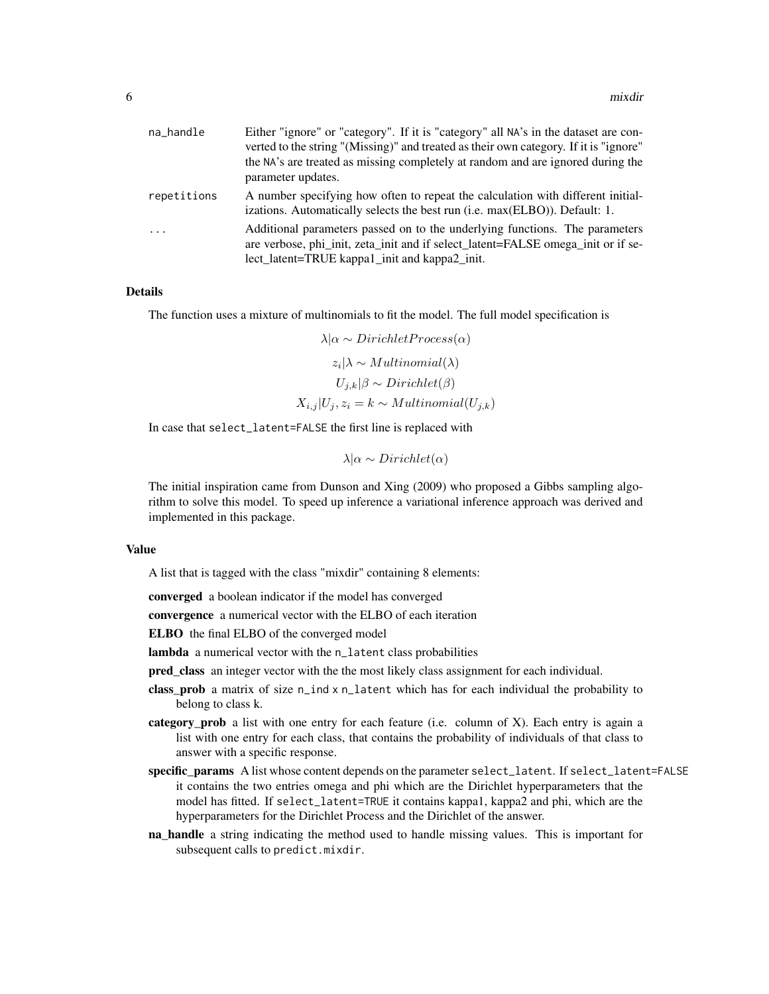| na_handle   | Either "ignore" or "category". If it is "category" all NA's in the dataset are con-<br>verted to the string "(Missing)" and treated as their own category. If it is "ignore"<br>the NA's are treated as missing completely at random and are ignored during the<br>parameter updates. |
|-------------|---------------------------------------------------------------------------------------------------------------------------------------------------------------------------------------------------------------------------------------------------------------------------------------|
| repetitions | A number specifying how often to repeat the calculation with different initial-<br>izations. Automatically selects the best run (i.e. max(ELBO)). Default: 1.                                                                                                                         |
| $\cdots$    | Additional parameters passed on to the underlying functions. The parameters<br>are verbose, phi init, zeta init and if select latent=FALSE omega init or if se-<br>lect_latent=TRUE kappa1_init and kappa2_init.                                                                      |

#### Details

The function uses a mixture of multinomials to fit the model. The full model specification is

 $\lambda|\alpha \sim Dirichlet Process(\alpha)$  $z_i | \lambda \sim Multinomial(\lambda)$  $U_{i,k}|\beta \sim Dirichlet(\beta)$  $X_{i,j} |U_j, z_i = k \sim Multinomial(U_{j,k})$ 

In case that select\_latent=FALSE the first line is replaced with

$$
\lambda | \alpha \sim Dirichlet(\alpha)
$$

The initial inspiration came from Dunson and Xing (2009) who proposed a Gibbs sampling algorithm to solve this model. To speed up inference a variational inference approach was derived and implemented in this package.

#### Value

A list that is tagged with the class "mixdir" containing 8 elements:

converged a boolean indicator if the model has converged

convergence a numerical vector with the ELBO of each iteration

ELBO the final ELBO of the converged model

lambda a numerical vector with the n\_latent class probabilities

pred\_class an integer vector with the the most likely class assignment for each individual.

- class\_prob a matrix of size n\_ind x n\_latent which has for each individual the probability to belong to class k.
- category\_prob a list with one entry for each feature (i.e. column of X). Each entry is again a list with one entry for each class, that contains the probability of individuals of that class to answer with a specific response.
- specific\_params A list whose content depends on the parameter select\_latent. If select\_latent=FALSE it contains the two entries omega and phi which are the Dirichlet hyperparameters that the model has fitted. If select\_latent=TRUE it contains kappa1, kappa2 and phi, which are the hyperparameters for the Dirichlet Process and the Dirichlet of the answer.
- **na\_handle** a string indicating the method used to handle missing values. This is important for subsequent calls to predict.mixdir.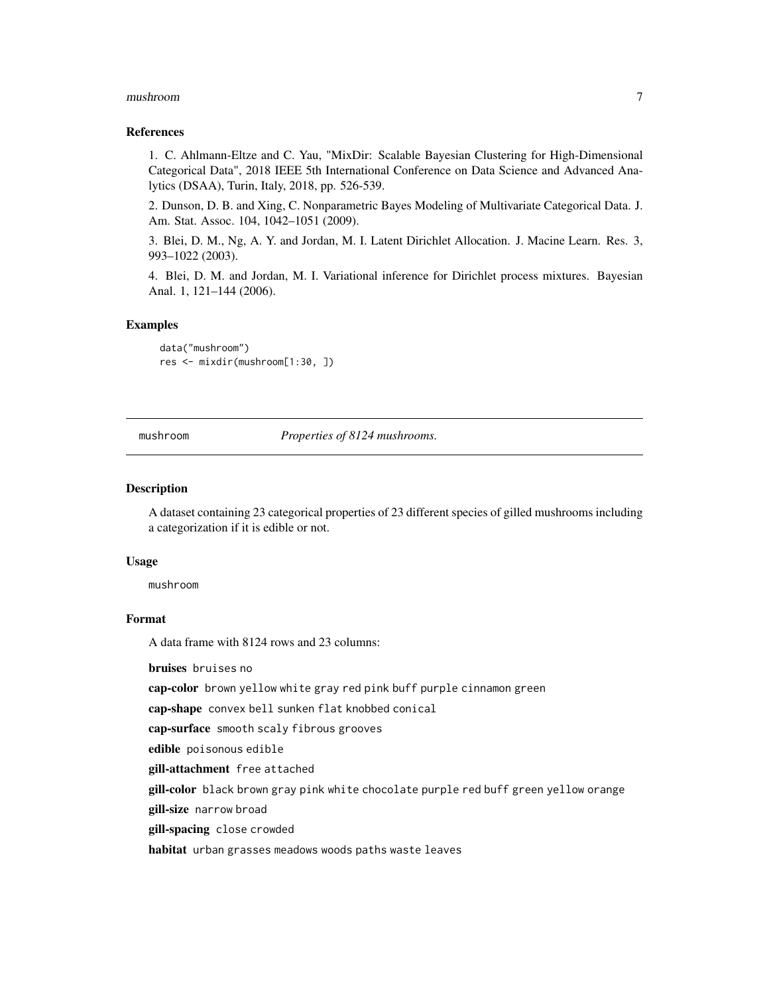#### <span id="page-6-0"></span>mushroom 7

#### References

1. C. Ahlmann-Eltze and C. Yau, "MixDir: Scalable Bayesian Clustering for High-Dimensional Categorical Data", 2018 IEEE 5th International Conference on Data Science and Advanced Analytics (DSAA), Turin, Italy, 2018, pp. 526-539.

2. Dunson, D. B. and Xing, C. Nonparametric Bayes Modeling of Multivariate Categorical Data. J. Am. Stat. Assoc. 104, 1042–1051 (2009).

3. Blei, D. M., Ng, A. Y. and Jordan, M. I. Latent Dirichlet Allocation. J. Macine Learn. Res. 3, 993–1022 (2003).

4. Blei, D. M. and Jordan, M. I. Variational inference for Dirichlet process mixtures. Bayesian Anal. 1, 121–144 (2006).

# Examples

data("mushroom") res <- mixdir(mushroom[1:30, ])

mushroom *Properties of 8124 mushrooms.*

#### Description

A dataset containing 23 categorical properties of 23 different species of gilled mushrooms including a categorization if it is edible or not.

#### Usage

mushroom

### Format

A data frame with 8124 rows and 23 columns:

bruises bruises no

cap-color brown yellow white gray red pink buff purple cinnamon green

cap-shape convex bell sunken flat knobbed conical

cap-surface smooth scaly fibrous grooves

edible poisonous edible

gill-attachment free attached

gill-color black brown gray pink white chocolate purple red buff green yellow orange

gill-size narrow broad

gill-spacing close crowded

habitat urban grasses meadows woods paths waste leaves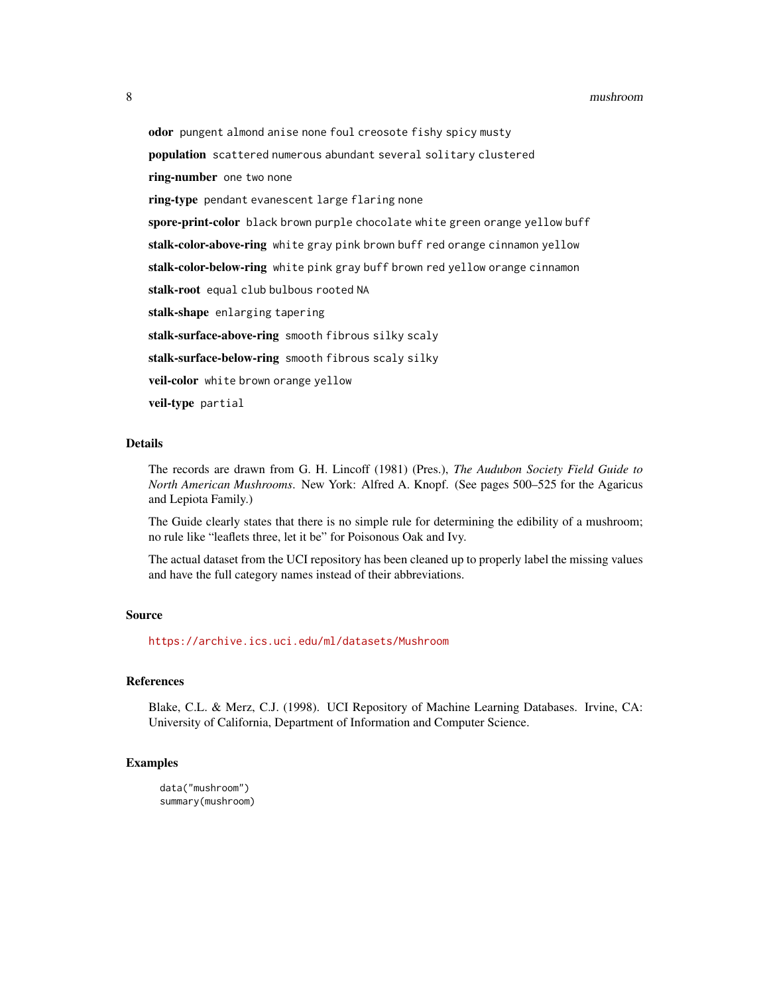odor pungent almond anise none foul creosote fishy spicy musty population scattered numerous abundant several solitary clustered ring-number one two none ring-type pendant evanescent large flaring none spore-print-color black brown purple chocolate white green orange yellow buff stalk-color-above-ring white gray pink brown buff red orange cinnamon yellow stalk-color-below-ring white pink gray buff brown red yellow orange cinnamon stalk-root equal club bulbous rooted NA stalk-shape enlarging tapering stalk-surface-above-ring smooth fibrous silky scaly stalk-surface-below-ring smooth fibrous scaly silky veil-color white brown orange yellow veil-type partial

#### Details

The records are drawn from G. H. Lincoff (1981) (Pres.), *The Audubon Society Field Guide to North American Mushrooms*. New York: Alfred A. Knopf. (See pages 500–525 for the Agaricus and Lepiota Family.)

The Guide clearly states that there is no simple rule for determining the edibility of a mushroom; no rule like "leaflets three, let it be" for Poisonous Oak and Ivy.

The actual dataset from the UCI repository has been cleaned up to properly label the missing values and have the full category names instead of their abbreviations.

#### Source

<https://archive.ics.uci.edu/ml/datasets/Mushroom>

#### References

Blake, C.L. & Merz, C.J. (1998). UCI Repository of Machine Learning Databases. Irvine, CA: University of California, Department of Information and Computer Science.

### Examples

data("mushroom") summary(mushroom)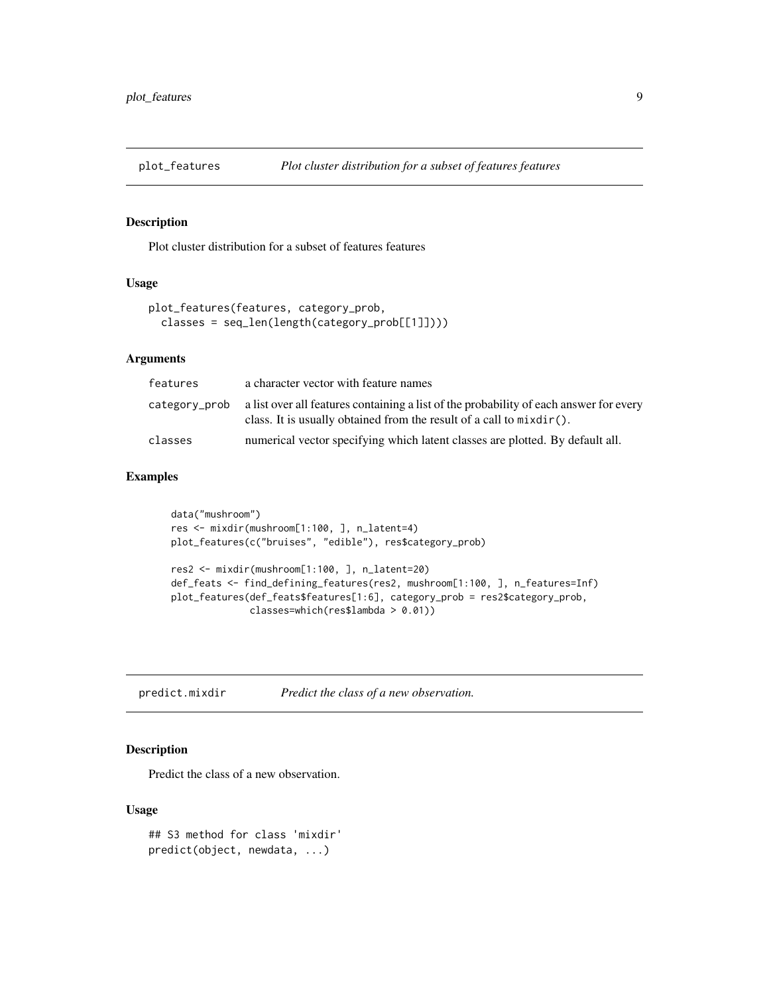<span id="page-8-0"></span>

# Description

Plot cluster distribution for a subset of features features

# Usage

```
plot_features(features, category_prob,
 classes = seq_len(length(category_prob[[1]])))
```
# Arguments

| features      | a character vector with feature names                                                                                                                             |
|---------------|-------------------------------------------------------------------------------------------------------------------------------------------------------------------|
| category_prob | a list over all features containing a list of the probability of each answer for every<br>class. It is usually obtained from the result of a call to $mixdir()$ . |
| classes       | numerical vector specifying which latent classes are plotted. By default all.                                                                                     |

# Examples

```
data("mushroom")
res <- mixdir(mushroom[1:100, ], n_latent=4)
plot_features(c("bruises", "edible"), res$category_prob)
res2 <- mixdir(mushroom[1:100, ], n_latent=20)
def_feats <- find_defining_features(res2, mushroom[1:100, ], n_features=Inf)
plot_features(def_feats$features[1:6], category_prob = res2$category_prob,
              classes=which(res$lambda > 0.01))
```
predict.mixdir *Predict the class of a new observation.*

# Description

Predict the class of a new observation.

# Usage

```
## S3 method for class 'mixdir'
predict(object, newdata, ...)
```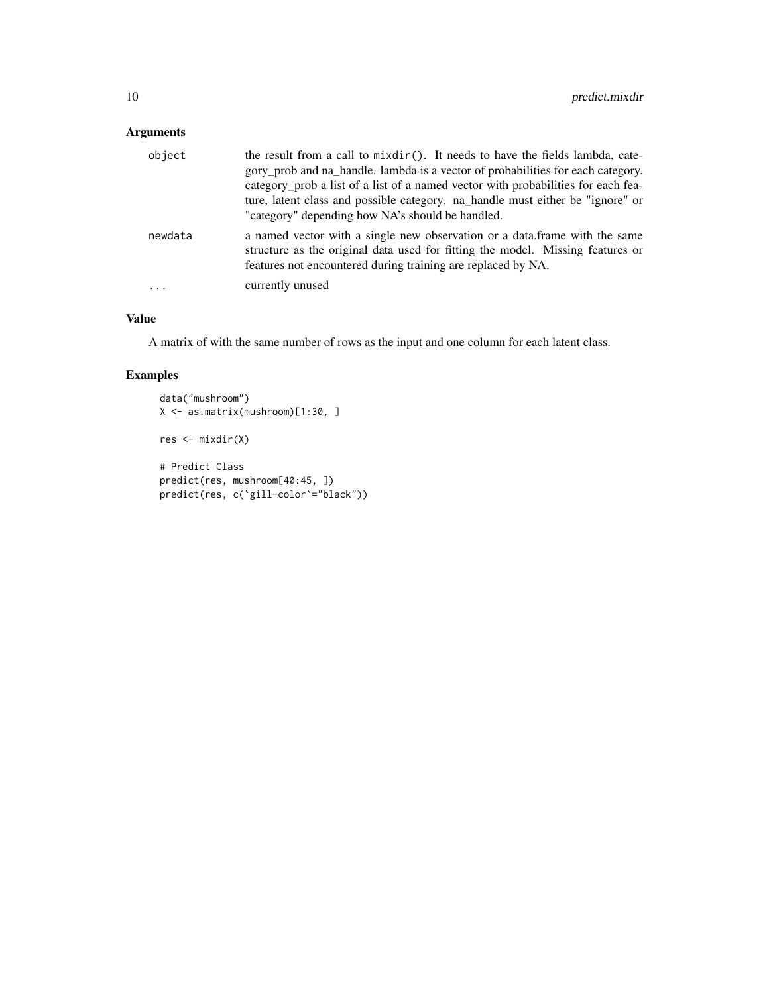# Arguments

| object  | the result from a call to mixdir(). It needs to have the fields lambda, cate-<br>gory prob and na handle. lambda is a vector of probabilities for each category.<br>category_prob a list of a list of a named vector with probabilities for each fea-<br>ture, latent class and possible category. na_handle must either be "ignore" or<br>"category" depending how NA's should be handled. |
|---------|---------------------------------------------------------------------------------------------------------------------------------------------------------------------------------------------------------------------------------------------------------------------------------------------------------------------------------------------------------------------------------------------|
| newdata | a named vector with a single new observation or a data. frame with the same<br>structure as the original data used for fitting the model. Missing features or<br>features not encountered during training are replaced by NA.                                                                                                                                                               |
| $\cdot$ | currently unused                                                                                                                                                                                                                                                                                                                                                                            |

# Value

A matrix of with the same number of rows as the input and one column for each latent class.

# Examples

```
data("mushroom")
X <- as.matrix(mushroom)[1:30, ]
res <- mixdir(X)
# Predict Class
predict(res, mushroom[40:45, ])
predict(res, c(`gill-color`="black"))
```